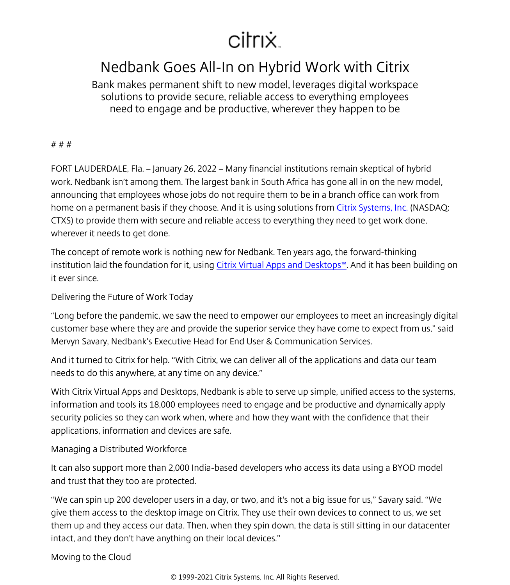## citrix.

## Nedbank Goes All-In on Hybrid Work with Citrix

Bank makes permanent shift to new model, leverages digital workspace solutions to provide secure, reliable access to everything employees need to engage and be productive, wherever they happen to be

# # #

FORT LAUDERDALE, Fla. – January 26, 2022 – Many financial institutions remain skeptical of hybrid work. Nedbank isn't among them. The largest bank in South Africa has gone all in on the new model, announcing that employees whose jobs do not require them to be in a branch office can work from home on a permanent basis if they choose. And it is using solutions from [Citrix Systems, Inc.](http://www.citrix.com/) (NASDAQ: CTXS) to provide them with secure and reliable access to everything they need to get work done, wherever it needs to get done.

The concept of remote work is nothing new for Nedbank. Ten years ago, the forward-thinking institution laid the foundation for it, using [Citrix Virtual Apps and Desktops™.](https://www.citrix.com/products/citrix-virtual-apps-and-desktops/) And it has been building on it ever since.

Delivering the Future of Work Today

"Long before the pandemic, we saw the need to empower our employees to meet an increasingly digital customer base where they are and provide the superior service they have come to expect from us," said Mervyn Savary, Nedbank's Executive Head for End User & Communication Services.

And it turned to Citrix for help. "With Citrix, we can deliver all of the applications and data our team needs to do this anywhere, at any time on any device."

With Citrix Virtual Apps and Desktops, Nedbank is able to serve up simple, unified access to the systems, information and tools its 18,000 employees need to engage and be productive and dynamically apply security policies so they can work when, where and how they want with the confidence that their applications, information and devices are safe.

Managing a Distributed Workforce

It can also support more than 2,000 India-based developers who access its data using a BYOD model and trust that they too are protected.

"We can spin up 200 developer users in a day, or two, and it's not a big issue for us," Savary said. "We give them access to the desktop image on Citrix. They use their own devices to connect to us, we set them up and they access our data. Then, when they spin down, the data is still sitting in our datacenter intact, and they don't have anything on their local devices."

Moving to the Cloud